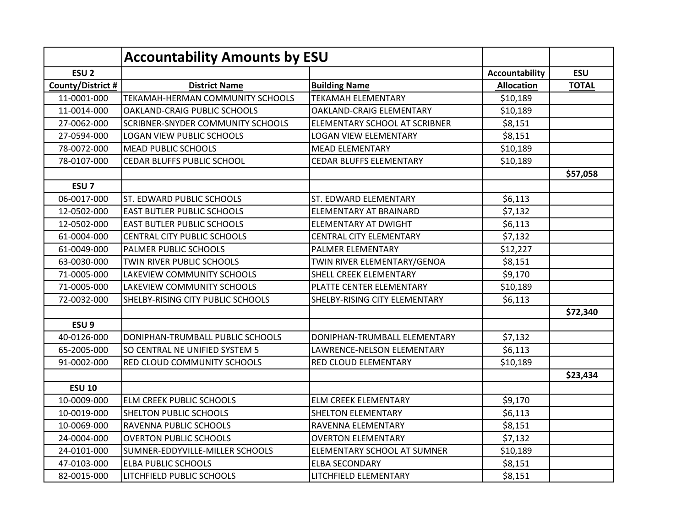|                   | <b>Accountability Amounts by ESU</b> |                                |                       |              |
|-------------------|--------------------------------------|--------------------------------|-----------------------|--------------|
| ESU <sub>2</sub>  |                                      |                                | <b>Accountability</b> | <b>ESU</b>   |
| County/District # | <b>District Name</b>                 | <b>Building Name</b>           | <b>Allocation</b>     | <b>TOTAL</b> |
| 11-0001-000       | TEKAMAH-HERMAN COMMUNITY SCHOOLS     | <b>TEKAMAH ELEMENTARY</b>      | \$10,189              |              |
| 11-0014-000       | OAKLAND-CRAIG PUBLIC SCHOOLS         | OAKLAND-CRAIG ELEMENTARY       | \$10,189              |              |
| 27-0062-000       | SCRIBNER-SNYDER COMMUNITY SCHOOLS    | ELEMENTARY SCHOOL AT SCRIBNER  | \$8,151               |              |
| 27-0594-000       | LOGAN VIEW PUBLIC SCHOOLS            | <b>LOGAN VIEW ELEMENTARY</b>   | \$8,151               |              |
| 78-0072-000       | MEAD PUBLIC SCHOOLS                  | <b>MEAD ELEMENTARY</b>         | \$10,189              |              |
| 78-0107-000       | CEDAR BLUFFS PUBLIC SCHOOL           | <b>CEDAR BLUFFS ELEMENTARY</b> | \$10,189              |              |
|                   |                                      |                                |                       | \$57,058     |
| ESU <sub>7</sub>  |                                      |                                |                       |              |
| 06-0017-000       | ST. EDWARD PUBLIC SCHOOLS            | ST. EDWARD ELEMENTARY          | \$6,113               |              |
| 12-0502-000       | <b>EAST BUTLER PUBLIC SCHOOLS</b>    | ELEMENTARY AT BRAINARD         | \$7,132               |              |
| 12-0502-000       | <b>EAST BUTLER PUBLIC SCHOOLS</b>    | <b>ELEMENTARY AT DWIGHT</b>    | \$6,113               |              |
| 61-0004-000       | <b>CENTRAL CITY PUBLIC SCHOOLS</b>   | <b>CENTRAL CITY ELEMENTARY</b> | \$7,132               |              |
| 61-0049-000       | PALMER PUBLIC SCHOOLS                | PALMER ELEMENTARY              | \$12,227              |              |
| 63-0030-000       | TWIN RIVER PUBLIC SCHOOLS            | TWIN RIVER ELEMENTARY/GENOA    | \$8,151               |              |
| 71-0005-000       | LAKEVIEW COMMUNITY SCHOOLS           | SHELL CREEK ELEMENTARY         | \$9,170               |              |
| 71-0005-000       | LAKEVIEW COMMUNITY SCHOOLS           | PLATTE CENTER ELEMENTARY       | \$10,189              |              |
| 72-0032-000       | SHELBY-RISING CITY PUBLIC SCHOOLS    | SHELBY-RISING CITY ELEMENTARY  | \$6,113               |              |
|                   |                                      |                                |                       | \$72,340     |
| ESU <sub>9</sub>  |                                      |                                |                       |              |
| 40-0126-000       | DONIPHAN-TRUMBALL PUBLIC SCHOOLS     | DONIPHAN-TRUMBALL ELEMENTARY   | \$7,132               |              |
| 65-2005-000       | SO CENTRAL NE UNIFIED SYSTEM 5       | LAWRENCE-NELSON ELEMENTARY     | \$6,113               |              |
| 91-0002-000       | RED CLOUD COMMUNITY SCHOOLS          | RED CLOUD ELEMENTARY           | \$10,189              |              |
|                   |                                      |                                |                       | \$23,434     |
| <b>ESU 10</b>     |                                      |                                |                       |              |
| 10-0009-000       | <b>ELM CREEK PUBLIC SCHOOLS</b>      | <b>ELM CREEK ELEMENTARY</b>    | \$9,170               |              |
| 10-0019-000       | <b>SHELTON PUBLIC SCHOOLS</b>        | <b>SHELTON ELEMENTARY</b>      | \$6,113               |              |
| 10-0069-000       | RAVENNA PUBLIC SCHOOLS               | RAVENNA ELEMENTARY             | \$8,151               |              |
| 24-0004-000       | <b>OVERTON PUBLIC SCHOOLS</b>        | <b>OVERTON ELEMENTARY</b>      | \$7,132               |              |
| 24-0101-000       | SUMNER-EDDYVILLE-MILLER SCHOOLS      | ELEMENTARY SCHOOL AT SUMNER    | \$10,189              |              |
| 47-0103-000       | <b>ELBA PUBLIC SCHOOLS</b>           | <b>ELBA SECONDARY</b>          | \$8,151               |              |
| 82-0015-000       | LITCHFIELD PUBLIC SCHOOLS            | LITCHFIELD ELEMENTARY          | \$8,151               |              |